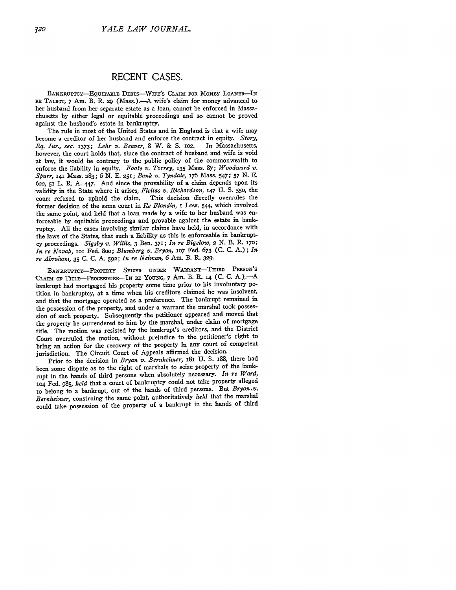## **RECENT CASES.**

BANKRUPTCY-EQUITABLE DEBTS-WIFE'S CLAIM FOR MONEY LOANED-IN RE TALBOT, 7 Am. B. R. 29 (Mass.).-- A wife's claim for money advanced to her husband from her separate estate as a loan, cannot be enforced in Massachusetts by either legal or equitable proceedings and so cannot be proved against the husband's estate in bankruptcy.

The rule in most of the United States and in England is that a wife may become a creditor of her husband and enforce the contract in equity. *Story, Eq. Jur., sec.* 1373; Lehr v. Beaver, 8 W. & S. 102. however, the court holds that, since the contract of husband and wife is void at law, it would be contrary to the public policy of the commonwealth to enforce the liability in equity. *Foote v. Torrey,* **135** Mass. **87;** *Woodward v. Spurr,* **141** Mass. 283; *6 N.* **E.** 251; *Bank v. Tyndale,* 176 Mass. -547; 57 *N.* **E.** *622,* 51 L. R. **A.** 447. And since the provability of a claim depends upon its validity in the State where it arises, *Fleitas v. Richardson*, **147 U. S. 550**, the court refused to uphold the claim. This decision directly overrules the This decision directly overrules the former decision of the same court in *Re Blandin,* I Low. 544, which involved the same point, and held that a loan made **by** a wife to her husband was enforceable by equitable proceedings and provable against the estate in bankruptcy. **All** the cases involving similar claims have held, in accordance with the laws of the States, that such a liability as this is enforceable in bankruptcy proceedings. *Sigsby v. Willis,* 3 Ben. 371; *In re Bigelow,* **2 N.** B. **R. 170;** *In re Novak,* ioi Fed. 8oo; *Blumberg v. Bryan,* **1o7** Fed. *673* **(C. C.** A.); *In re Abraham,* **35 C. C. A. 592;** *In re Neiman,* 6 **Am.** B. R. **329.**

**BANKRUPTCY-PROPERTY SEIZED UNDER WARRANT-THIRD** PERSON'S CLAIm **OF. TITLE-PROCEEDURE-IN RE YOUNG, 7** Am. B. R. **14 (C. C. A.)..-A** bankrupt had mortgaged his property some time prior to his involuntary petition in bankruptcy, at a time when his creditors claimed he was insolvent, and that the mortgage operated as a preference. The bankrupt remained in the possession of the property, and under a warrant the marshal took possession of such property. Subsequently the petitioner appeared and moved that the property be surrendered to him by the marshal, under claim of mortgage title. The motion was resisted **by** the bankrupt's creditors, and the District Court overruled the motion, without prejudice to the petitioner's right to bring an action for the recovery of the property in any court of competent jurisdiction. The Circuit Court of Appeals affirmed the decision.

Prior to the decision in *Bryan v. Bernheimer*, 181 U. S. 188, there had been some dispute as to the right of marshals to seize property of the bankrupt in the hands of third persons when absolutely necessary. *In re Ward,* **1O4** Fed. 985, *held* that a court of bankruptcy could not take property alleged to belong to a bankrupt, out of the hands of third persons. But *Bryan ,v. Bernheimer,* construing the same point, authoritatively *held* that the marshal could take possession of the property of a bankrupt in the hands of third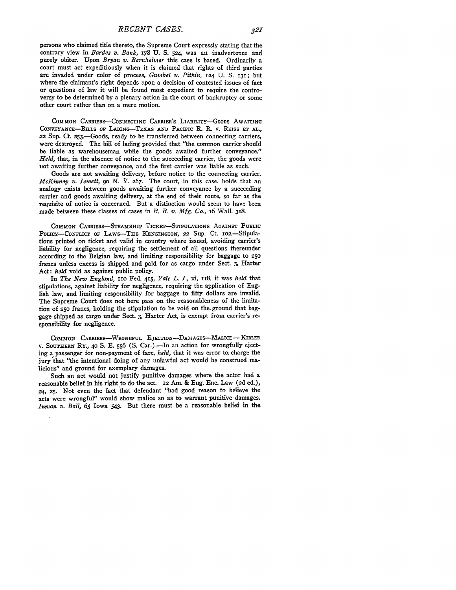persons who claimed title thereto, the Supreme Court expressly stating that the contrary view in *Bardes v. Bank,* 178 U. S. **524,** was an inadvertence and purely obiter. Upon *Bryan v. Bernheimer* this case is based. Ordinarily a court must act expeditiously when it is claimed that rights of third parties are invaded under color of process, *Gumbel v. Pitkin,* **124** U. S. **131;** but where the claimant's right depends upon a decision of contested issues of fact or questions of law it will be found most expedient to require the controversy to be determined by a plenary action in the court of bankruptcy or some other court rather than on a mere motion.

COMMON CARRERS-CONNECTING **CARRIER'S** LIABILITY-GooDs **AWAITING** CONVEYANCE-BILLS **OF** LADING-TEXAS **AND** PACIFIC R. R. v. REISS **ET AL.,** *22* Sup. Ct. 253.-Goods, ready to be transferred between connecting carriers, were destroyed. The bill of lading provided that "the common carrier should be liable as warehouseman while the goods awaited further conveyance." *Held,* that, in the absence of notice to the succeeding carrier, the goods were not awaiting further conveyance, and the first carrier was liable as such.

Goods are not awaiting delivery, before notice to the connecting carrier. *McKinney v. Jewett, go N. 'Z.* **267.** The court, in this case. holds that an analogy exists between goods awaiting further conveyance by a succeeding carrier and goods awaiting delivery, at the end of their route, so far as the Tequisite of notice is concerned. But a distinction would seem to have been made between these classes of cases in *R. R. v. Mfg. Co.,* 16 Wall. 318.

**COMMON** CARRIERS-STEAMSHIP **TICKET-STIPULATIONS** AGAINST **PUBLIC** PoLCY-CoNFLIcr **OF** LAws-THE **KENSINGTON, 22** Sup. Ct. i02.-Stipulations printed on ticket and valid in country where issued, avoiding carrier's liability for negligence, requiring the settlement of all questions thereunder according to the Belgian law, and limiting responsibility for baggage to **250** francs unless excess is shipped and paid for as cargo under Sect. 3, Harter Act: *held* void as against public policy.

In *The New England,* **11O** Fed. 415, *Yale L. I.,* xi, 118, it was *held* that stipulations, against liability for negligence, requiring the application of English law, and limiting responsibility for baggage to fifty dollars are invalid. The Supreme Court does not here pass on the reasonableness of the limitation of **250** francs, holding the stipulation to be void on the. ground that baggage shipped as cargo under Sect. **3,** Harter Act, is exempt from carrier's responsibility for negligence.

**COMMON CARRIERS-WRONGFUL** EJECTION-DAMAGES-MALICE- **KIBLER** v. **SOUTHERN** RY., **40 S. E. 556 (S.** Car.).-In an action for wrongfully ejecting a passenger for non-payment of fare, *held,* that it was error to. charge the jury that "the intentional doing of any unlawful act would be construed malicious" and ground for exemplary damages.

Such an act would not justify punitive damages where the actor had a reasonable belief in his right to do the act. **12** Am. & Eng. Enc. Law **(2d** ed.), **24, 25.** Not even the fact that defendant "had good reason to believe the acts were wrongful" would show malice so as to warrant punitive damages. *Innan v. Ball,* **65** Iowa 543. But there must be a reasonable belief in the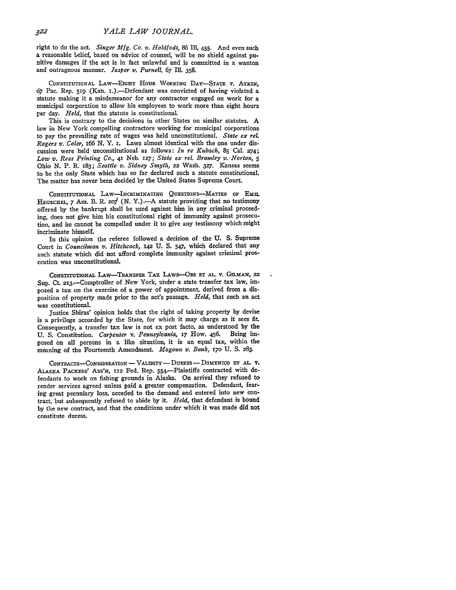right to do the act. *Singer Mfg. Co. v. Holdfodt,* 86 Ill, 455. And even such a reasonable belief, based on advice of counsel, will be no shield against **pu**nitive damages if the act is in fact unlawful and is committed in a wanton and outrageous manner. *Jasper v. Purnell,* 67 Ill. 358.

CONSTITUTIONAL LAw-EIGHT **HOUR WORKING DAY-STATE V.** ATKIN, 67 Pac. Rep. **519** (Kan. i.).-Defendant was convicted of having violated a statute making it a misdemeanor for any contractor engaged on work for a municipal corporation to allow his employees to work more than eight hours per day. *Held,* that the statute is constitutional.

This is contrary to the decisions in other States on similar statutes. A law in New York compelling contractors working for municipal corporations to pay the prevailing rate of wages was held unconstitutional. *State ex rel. Rogers v. Coler, 166* **N.** Y. **I.** Laws almost identical with the one under discussion were held unconstitutional as follows: *In re Kubach,* 85 Cal. **274;** *Low v. Rees Printing Co.,* **41** Neb. 127; *State ex rel. Bramley v..Norton, 5* Ohio N. P. R. 183; *Seattle v. Sidney Smyth,* **22** Wash. **327.** Kansas seems to be the only State which has so far declared such a statute constitutional. The matter has never been decided **by** the United States Supreme Court.

CONSTITUTIONAL LAW-INCRIMINATING QUESTIONS-MATTER OF EMIL HEUSCHEL, 7 Am. B. R. 207 (N. Y.).--A statute providing that no testimony offered by the bankrupt shall be used against him in any criminal proceeding, does not give him his constitutional right of immunity against prosecution, and he cannot be compelled under it to give any testimony which might incriminate himself.

In this opinion the referee followed a decision of the **U.** S. Supreme Court in *Councilman v. Hitchcock,* **142** U. **S.** 547, which declared that any such statute which did not afford complete immunity against criminal prosecution was unconstitutional.

CONSTITUTIONAL LAW-TRANSFER TAX LAWS-ORR ET AL. V. GILMAN, 22 **Sup.** Ct. 213.-Comptroller of New York, under a state transfer tax law, imposed a tax on the exercise of a power of appointment, derived from a disposition of property made prior to the act's passage. *Held,* that such an act was constitutional.

Justice Shiras' opinion holds that the right of taking property **by** devise is a privilege accorded by the State, for which it may charge as it sees fit. Consequently, a transfer tax law is not ex post facto, as understood by the U. S. Constitution. Carbenter y. Pennsylvania, 17 How. 456. Being im-**U. S. Constitution.** *Carpenter v. Pennsylvania*, 17 How. 456. posed on all persons in a like situation, it is an equal tax, within the meaning of the Fourteenth Amendment. *Magoun v. Bank, i7o* U. S. 283.

CONTRACTS-CONSIDERATION - VALIDITY - DURESS -- DOMENICO ET AL. V. ALASKA PACKERS' Ass'N, **112** Fed. Rep. 554.-Plaintiffs contracted with defendants to work on fishing grounds in Alaska. On arrival they refused to render services agreed unless paid a greater compensation. Defendant, fearing great pecuniary loss, acceded to the demand and entered into new contract, but subsequently refused to abide by it. *Held,* that defendant is bound by the new contract, and that the conditions under which it was made did not constitute duress.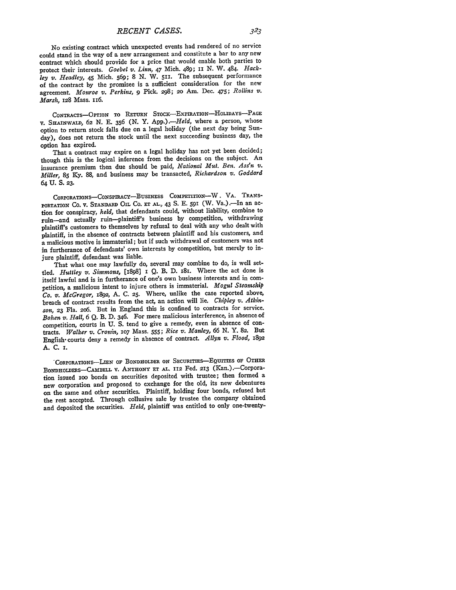No existing contract which unexpected events had rendered of no service could stand in the way of a new arrangement and constitute a bar to any new contract which should provide for a price that would enable both parties to protect their interests. *Goebel v. Linn,* 47 Mich. 489; **ii** N. W. 484. *Hackley v. Headley,* 45 Mich. 569; 8 N. W. **511.** The subsequent performance of the contract by the promisee is a sufficient consideration for the new agreement. *Monroe v. Perkins, 9* Pick. 298; 2o Am. Dec. 475; *Rollins v. Marsh,* **128** Mass. ii6.

CoNTRAcTs-OPTION TO RETURN STOcK-ExPIRATIoN-HoLDAYS-PAGE **V.** SHAINWALD, **62** N. E. **356** (N. Y. *App.).-Held,* where a person, whose option to return stock falls due on a legal holiday (the next day being Sunday), does not return the stock until the next succeeding business day, the option has expired.

That a contract may expire on a legal holiday has not yet been decided; though this is the logical inference from the decisions on the subject. An insurance premium then due should be paid, *National Mut. Ben. Ass'n v. Miller,* **85** Ky. 88, and business may be transacted, *Richardson v. Goddard* 64 **U. S. 23.**

CoRPoRATIoNs-CoNsPIRAcY-BusINESS COMPETITION-W. VA. TRANS-PORTATION CO. V. **STANDARD OIL** Co. **ET AL,** 43 S. E. 591 (W. Va.).-In an action for conspiracy, *held,* that defendants could, without liability, combine to ruin-and actually ruin-plaintiff's business by competition, withdrawing plaintiff's customers **to** themselves by refusal to deal with any who dealt with plaintiff, in the absence of contracts between plaintiff and his customers, and a malicious motive is immaterial; but if such withdrawal of customers was not in furtherance of defendants' own interests by competition, but merely to injure plaintiff, defendant was liable.

That what one may lawfully do, several may combine to do, is well settled. *Huttley v. Simmons,* [1898] **I** Q. B. **D.** i8i. Where the act done is itself lawful and is in furtherance of one's own business interests and in competition, a malicious intent to injure others is immaterial. *Mogul Steamship Co. v. McGregor,* **1892, A. C. 25.** Where, unlike the case reported above, breach of contract results from the act, an action will lie. *Chipley v. Atkinson,* **23** Fla. **2o6.** But in England this is confined to contracts for service. *Bohen v. Hall,* 6 **Q.** B. **D.** 346. For mere malicious interference, in absence of competition, courts in **U. S.** tend to give a remedy, even in absence of contracts. *Walker v. Cronin,* **io7** Mass. **555;** *Rice v. Manley, 66* **N.** Y. **82.** But English- courts deny a remedy in absence of contract. *Allyn v. Flood,* <sup>1892</sup> A. C. **I.**

**"CoRPORATIONS-LIEN OF BONDHOLDER ON SECURITIEs-EQUITIEs** OF **OTHER BONDHOLDERS-CAMBELL v. ANTHONY ET AL. 112** Fed. **213** (Kan.).-Corporation issued ioo bonds on securities deposited with trustee; then formed a new corporation and proposed to exchange for the old, its new debentures on the same and other securities. Plaintiff, holding four bonds, refused but the rest accepted. Through collusive sale by trustee the company obtained and deposited the securities. *Held,* plaintiff was entitled to only one-twenty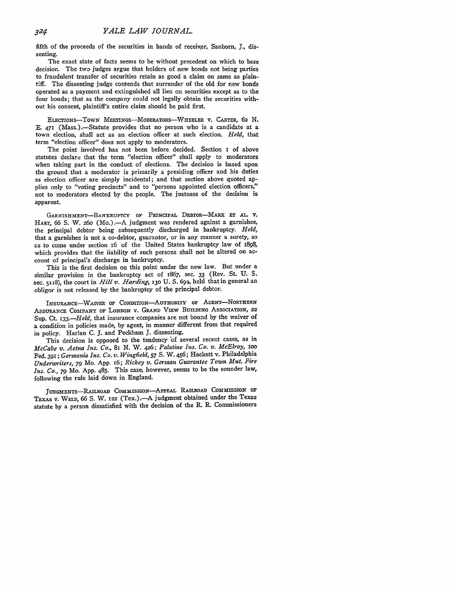fifth of the proceeds of the securities in hands of receiver, Sanborn, *J.,* dissenting.

The exact state of facts seems to be without precedent on which to base decision. The twa judges argue that holders of new bonds not being parties to fraudulent transfer of securities retain as good a claim on same as plaintiff. The dissenting judge contends that surrender of the old for new bonds operated as a payment and extinguished all lien on securities except as to the four bonds; that as the company could not legally obtain the securities without his consent, plaintiff's entire claim should be paid first.

ELEcTIoNs-TowN MEETINGS-MODERATORS-WHEELER **V.** CARTER, 62 N. **E. 471** (Mass.).-Statute provides that no person who is a candidate at a town election, shall act as an election officer at such election. *Held,* that term "election officer" does not apply to moderators.

The point involved has not been before decided. Section I of above statutes declare that the term "election officer" shall apply to moderators when taking part in the conduct of elections. The decision is based upon the ground that a moderator is primarily a presiding officer and his duties as election officer are simply incidental; and that section above quoted applies only to "voting precincts" and to "persons appointed election officers," not to moderators elected **by** the people. The justness of the decision is apparent.

GARNISHMENT-BANKRUPTCY **OF** PRINCIPAL DEBToR-MARx **ET AL. V.** HART, 66 S. W. 260 (Mo.).—A judgment was rendered against a garnishee, the principal debtor being subsequently discharged in bankruptcy. *Held,* that a garnishee is not a co-debtor, guarantor, or in any manner a surety, so as to come under section I6 of the United States bankruptcy law of **1898,** which provides that the iiability of such persons shall not be altered on account of principal's discharge in bankruptcy.

This is the first decision on this point under the new law. But under a similar provision in the bankruptcy act of 1867, sec. **33** (Rev. St. **U. S.** sec. **5118),** the court in *Hill v. Harding,* **130 U. S. 699,** held that in general an obligor is not released **by** the bankruptcy of the principal debtor.

INSURANCE-WAIVER **OF CONDITION-AUTHORITY** OF **AGENT-NORTHERN** ASSURANCE COMPANY OF LONDON V. GRAND VIEW BUILDING ASSOCIATION, 22 Sup. Ct. *133.-Held,* that insurance companies are not bound **by** the waiver of a condition in policies made, **by** agent, in manner different from that required in policy. Harlan **C. J.** and Peckham **J.** dissenting.

This decision is opposed to the tendency of several recent cases, as in *McCabe v. Aetna Ins. Co., 81* N. W. 426; *Palatine Ins. Co. v. McElroy, Ioo* Fed. **391;** *Germania Ins. Co. v. Wingfield, 57* S. W. 456; Hackett v. Philadelphia *Underwriters, 79* Mo. App. 16; *Rickey v. German Guarantee Town Mut. Fire Ins. Co., 79* Mo. App. 485. This case, however, seems to be the sounder law, following the rule laid down in England.

JUDGMENTs-RAILROAD **COmmiSSION-APPEAL RAILROAD** *COMMISSION* **OF TEXAS** V. **WELD,** 66 **S.** W. 122 (Tex.).-A judgment obtained under the Texas statute by a person dissatisfied with the decision of the R. R. Commissioners

324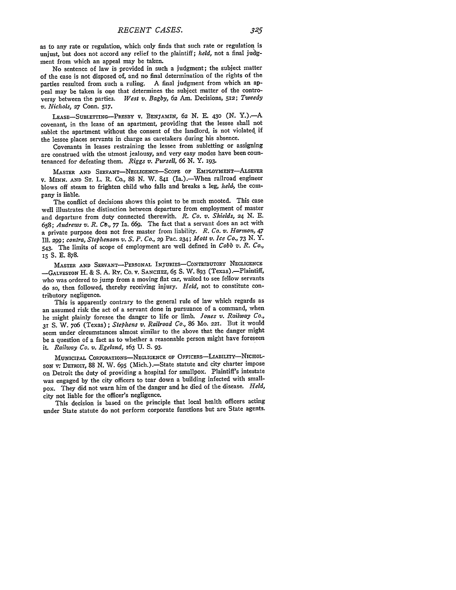as to any rate or regulation, which only finds that such rate or regulation is unjust, but does not accord any relief to the plaintiff; *held,* not a final judgment from which an appeal may be taken.

No sentence of law is provided in such a judgment; the subject matter of the case is not disposed of, and no final determination of the rights of the parties resulted from such a ruling. A final judgment from which an appeal may be taken is one that determines the subject matter of the contro-<br>versy between the parties. West v. Bagby, 62 Am. Decisions, 512; Tweedy West v. Bagby, 62 Am. Decisions, 512; Tweedy *v. Nichols, 27* Conn. **517.**

LEASE-SUBLETTING-PRSBY V. BENJAMIN, **62 N. B. 430 (N.** Y.).-A covenant, in the lease of an apartment, providing that the lessee shall not sublet the apartment without the consent of the landlord, is not violated if the lessee places servants in charge as caretakers during his absence.

Covenants in leases restraining the lessee from subletting or assigning are construed with the utmost jealousy, and very easy modes have been countenanced for defeating them. *Riggs v. Pursell,* **66 N.** Y. **193.**

MASTER **AND** SERVANT-NEGLIGENCE-ScOPE OF EmPLOYMENT-ALsEVER v. *MINN.* **AND ST.** L. R. Co., **88** N. W. 841 (Ia.).-When railroad engineer blows off steam to frighten child who falls and breaks a leg, *held*, the company is liable.

The conflict of decisions shows this point to be much mooted. This case well illustrates the distinction between departure from employment of master and departure from duty connected therewith. *R. Co. v. Shields, 24* **N. E.** *658; Andrews v. R. CO., 77* Ia. **669.** The fact that a servant does an act with a private purpose does not free master from liability. *R. Co. v. Harmon, 47* Ill. **299;** *contra, Stephenson v. S. P. Co.,* 29 Pac. 234; *Mott v. Ice Co., 73 N.* Y. 543. The limits of scope of employment are well defined in *Cobb v. R. Co., i5* **S. E.** 878.

MASTER AND SERVANT-PERSONAL INJURIES-CONTRIBUTORY NEGLIGENCE **-GALVESTON** H. **&** S. A. Ry. Co. V. SANCHEZ, **65** S. W. 893 (Texas).-Plaintiff, who was ordered to jump from a moving flat car, waited to see fellow servants do so, then followed, thereby receiving injury. *Held,* not to constitute contributory negligence.

This is apparently contrary to the general rule of law which regards as an assumed risk the act of a servant done in pursuance of a command, when he might plainly foresee the danger to life or limb. *Jones v. Railway Co., <sup>31</sup>*S. W. 7o6 (Texas); *Stephens v. Railroad Co., 86* Mo. **221.** But it would seem under circumstances almost similar to the above that the danger might be a question of a fact as to whether a reasonable person might have foreseen it. *Railway Co. v. Egeland,* 163 U. **S.** 93.

MUNICIPAL CORPORATIONS-NEGLIGENCE OF OFFICERS-LIABILITY-NICHOL-SON w DETROIT, 88 N. W. *695* (Mich.).-State statute and city charter impose on Detroit the duty of providing a hospital for smallpox. Plaintiff's intestate was engaged by the city officers to tear down a building infected with smallpox. They did not warn him of the danger and he died of the disease. *Held,* city not liable for the officer's negligence.

This decision is based on the principle that local health officers acting under State statute do not perform corporate functions but are State agents.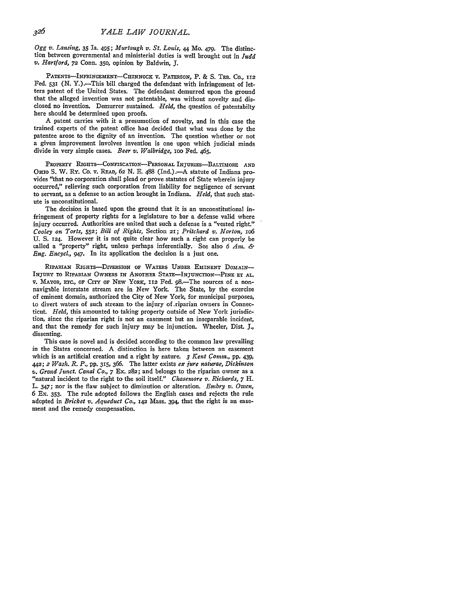*Ogg v. Lansing,* 35 Ia. 495; *Murtaugh v. St. Louis,* 44 Mo. 479. The distinction between governmental and ministerial duties is well brought out in *Judd v. Hartford,* **72** Conn. 350, opinion by Baldwin, *3.*

PATENTS-INFRINGEMENT-CHINNOCK **V. PATERSON, P. & S. TEB. CO., 112** Fed. 531 (N. Y.).-This bill charged the defendant with infringement of letters patent of the United States. The defendant demurred upon the ground that the alleged invention was not patentable, was without novelty and disclosed no invention. Demurrer sustained. *Held,* the question of patentabilty here should be determined upon proofs.

A patent carries with it a presumotion of novelty, and in this case the trained experts of the patent office haa decided that what was done **by** the patentee arose to the dignity of an invention. The question whether or not a given improvement involves invention is one upon which judicial minds divide in very simple cases. *Beer v. Walbridge,* ioo Fed. 465.

PROPERTY RIGHTS-CONFISCATION-PERSONAL INJURIES-BALTIMORE AND OHIO S. W. Ry. Co. v. READ, 62 N. E. 488 (Ind.). - A statute of Indiana provides "that no corporation shall plead or prove statutes of State wherein injury occurred," relieving such corporation from liability for negligence of servant to servant, as a defense to an action brought in Indiana. *Held,* that such statute is unconstitutional.

The decision is based upon the ground that it is an unconstitutional infringement of property rights for a legislature to bar a defense valid where injury occurred. Authorities are united that such a defense is a "vested right." *Cooley on Torts,* **552;** *Bill of Rights,* Section **21;** *Pritchard v. Norton, io6* U. **S.** 124. However it is not quite clear how such a right can properly be called a "property" right, unless perhaps inferentially. See also *6 Am. & Eng. Encycl., 947.* In its application the decision is a just one.

**RIPARIAN** RIGHTS-DIvERSION OF WATERS **UNDER** EMINENT DOMAIN-**INJURY TO RIPARIAN OWNERS IN ANOTHER** STATE-INJUNCTION-PINE **ET AL.** v. MAYOR, **ETc.,** oF CiTY **oF** NEW YoRx, **112** Fed. 98-The sources of a nonnavigable interstate stream are in New York. The State, **by** the exercise of eminent domain, authorized the City **of** New York, for municipal purposes, to divert waters of such stream to the injury of.riparian owners in Connecticut. *Held,* this amounted to taking property outside of New York jurisdiction, since the riparian right is not an easement but an inseparable incident, and that the remedy for such injury may be injunction. Wheeler, Dist. **J.,** dissenting.

This case is novel and is decided according to the common law prevailing in the States concerned. A distinction is here taken between an easement which is an artificial creation and a right by nature. *3 Kent Comm.,* pp. 439, 442; 2 *Wash. R. P.,* pp. **315,** *366.* The latter exists *ex jure naturae, Dickinson* v. *Grand Tunct. Canal Co., 7* Ex. **282;** and belongs to the riparian owner as a "natural incident to the right to the soil itself." *Chasemore v. Richards, 7* H. L. 347; nor is the flaw subject to diminution or alteration. *Embry v. Owen,* 6 Ex. 353. The rule adopted follows the English cases and rejects the rule adopted in *Bricket v. Aqueduct Co.,* **142** Mass. 394, that the right is an easement and the remedy compensation.